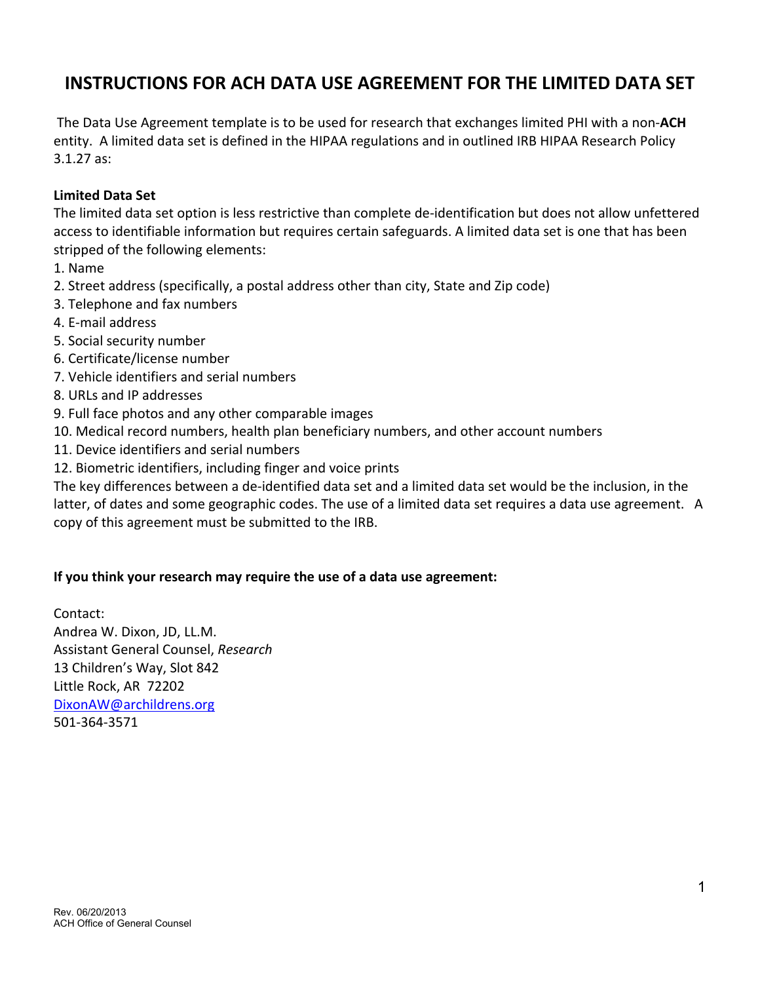## **INSTRUCTIONS FOR ACH DATA USE AGREEMENT FOR THE LIMITED DATA SET**

The Data Use Agreement template is to be used for research that exchanges limited PHI with a non-**ACH** entity. A limited data set is defined in the HIPAA regulations and in outlined IRB HIPAA Research Policy 3.1.27 as:

## **Limited Data Set**

The limited data set option is less restrictive than complete de-identification but does not allow unfettered access to identifiable information but requires certain safeguards. A limited data set is one that has been stripped of the following elements:

- 1. Name
- 2. Street address (specifically, a postal address other than city, State and Zip code)
- 3. Telephone and fax numbers
- 4. E-mail address
- 5. Social security number
- 6. Certificate/license number
- 7. Vehicle identifiers and serial numbers
- 8. URLs and IP addresses
- 9. Full face photos and any other comparable images
- 10. Medical record numbers, health plan beneficiary numbers, and other account numbers
- 11. Device identifiers and serial numbers
- 12. Biometric identifiers, including finger and voice prints

The key differences between a de-identified data set and a limited data set would be the inclusion, in the latter, of dates and some geographic codes. The use of a limited data set requires a data use agreement. A copy of this agreement must be submitted to the IRB.

## **If you think your research may require the use of a data use agreement:**

Contact: Andrea W. Dixon, JD, LL.M. Assistant General Counsel, *Research* 13 Children's Way, Slot 842 Little Rock, AR 72202 DixonAW@archildrens.org 501-364-3571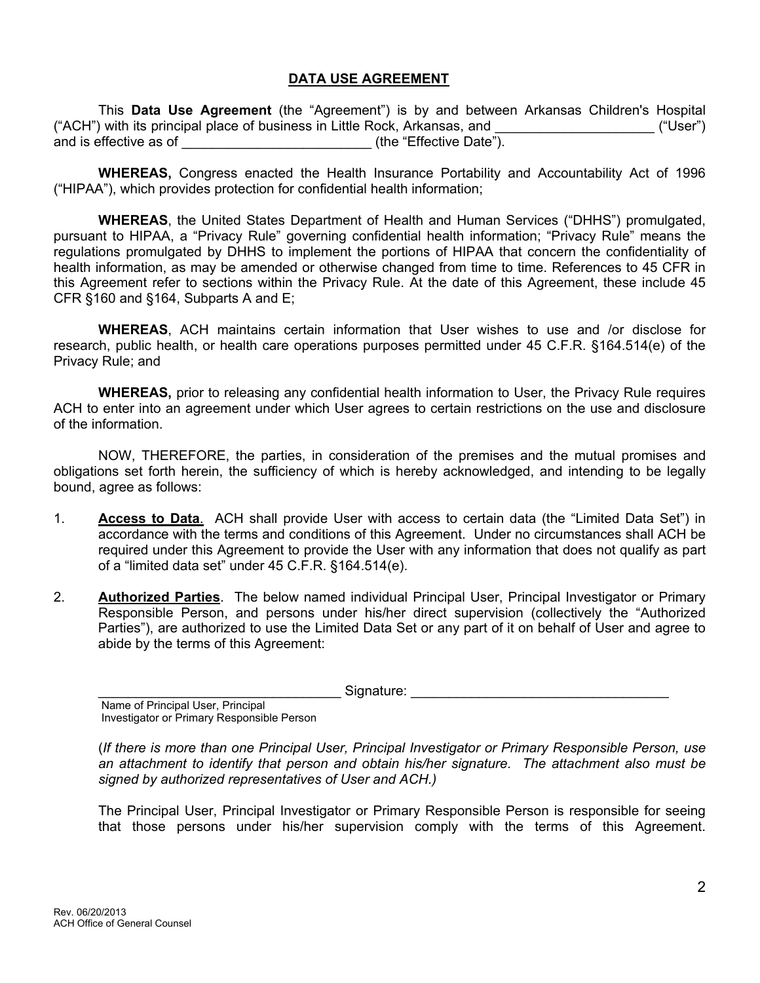## **DATA USE AGREEMENT**

This **Data Use Agreement** (the "Agreement") is by and between Arkansas Children's Hospital ("ACH") with its principal place of business in Little Rock, Arkansas, and  $($ "User") and is effective as of \_\_\_\_\_\_\_\_\_\_\_\_\_\_\_\_\_\_\_\_\_\_\_\_\_\_\_\_\_\_(the "Effective Date").

**WHEREAS,** Congress enacted the Health Insurance Portability and Accountability Act of 1996 ("HIPAA"), which provides protection for confidential health information;

**WHEREAS**, the United States Department of Health and Human Services ("DHHS") promulgated, pursuant to HIPAA, a "Privacy Rule" governing confidential health information; "Privacy Rule" means the regulations promulgated by DHHS to implement the portions of HIPAA that concern the confidentiality of health information, as may be amended or otherwise changed from time to time. References to 45 CFR in this Agreement refer to sections within the Privacy Rule. At the date of this Agreement, these include 45 CFR §160 and §164, Subparts A and E;

**WHEREAS**, ACH maintains certain information that User wishes to use and /or disclose for research, public health, or health care operations purposes permitted under 45 C.F.R. §164.514(e) of the Privacy Rule; and

**WHEREAS,** prior to releasing any confidential health information to User, the Privacy Rule requires ACH to enter into an agreement under which User agrees to certain restrictions on the use and disclosure of the information.

NOW, THEREFORE, the parties, in consideration of the premises and the mutual promises and obligations set forth herein, the sufficiency of which is hereby acknowledged, and intending to be legally bound, agree as follows:

- 1. **Access to Data**. ACH shall provide User with access to certain data (the "Limited Data Set") in accordance with the terms and conditions of this Agreement. Under no circumstances shall ACH be required under this Agreement to provide the User with any information that does not qualify as part of a "limited data set" under 45 C.F.R. §164.514(e).
- 2. **Authorized Parties**.The below named individual Principal User, Principal Investigator or Primary Responsible Person, and persons under his/her direct supervision (collectively the "Authorized Parties"), are authorized to use the Limited Data Set or any part of it on behalf of User and agree to abide by the terms of this Agreement:

 $Sigma:$  Signature:  $\Box$ 

Name of Principal User, Principal Investigator or Primary Responsible Person

(*If there is more than one Principal User, Principal Investigator or Primary Responsible Person, use an attachment to identify that person and obtain his/her signature. The attachment also must be signed by authorized representatives of User and ACH.)* 

The Principal User, Principal Investigator or Primary Responsible Person is responsible for seeing that those persons under his/her supervision comply with the terms of this Agreement.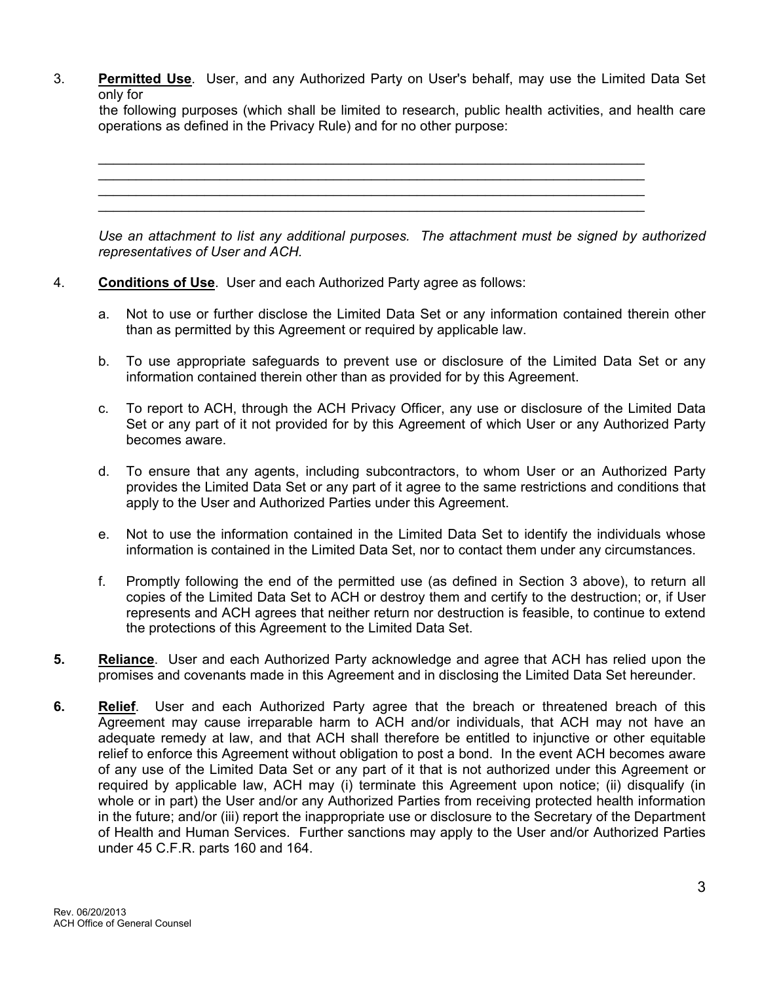3. **Permitted Use**. User, and any Authorized Party on User's behalf, may use the Limited Data Set only for

 the following purposes (which shall be limited to research, public health activities, and health care operations as defined in the Privacy Rule) and for no other purpose:

 $\_$  , and the set of the set of the set of the set of the set of the set of the set of the set of the set of the set of the set of the set of the set of the set of the set of the set of the set of the set of the set of th  $\mathcal{L}_\mathcal{L} = \mathcal{L}_\mathcal{L} = \mathcal{L}_\mathcal{L} = \mathcal{L}_\mathcal{L} = \mathcal{L}_\mathcal{L} = \mathcal{L}_\mathcal{L} = \mathcal{L}_\mathcal{L} = \mathcal{L}_\mathcal{L} = \mathcal{L}_\mathcal{L} = \mathcal{L}_\mathcal{L} = \mathcal{L}_\mathcal{L} = \mathcal{L}_\mathcal{L} = \mathcal{L}_\mathcal{L} = \mathcal{L}_\mathcal{L} = \mathcal{L}_\mathcal{L} = \mathcal{L}_\mathcal{L} = \mathcal{L}_\mathcal{L}$  $\mathcal{L}_\mathcal{L} = \mathcal{L}_\mathcal{L} = \mathcal{L}_\mathcal{L} = \mathcal{L}_\mathcal{L} = \mathcal{L}_\mathcal{L} = \mathcal{L}_\mathcal{L} = \mathcal{L}_\mathcal{L} = \mathcal{L}_\mathcal{L} = \mathcal{L}_\mathcal{L} = \mathcal{L}_\mathcal{L} = \mathcal{L}_\mathcal{L} = \mathcal{L}_\mathcal{L} = \mathcal{L}_\mathcal{L} = \mathcal{L}_\mathcal{L} = \mathcal{L}_\mathcal{L} = \mathcal{L}_\mathcal{L} = \mathcal{L}_\mathcal{L}$  $\_$  , and the set of the set of the set of the set of the set of the set of the set of the set of the set of the set of the set of the set of the set of the set of the set of the set of the set of the set of the set of th *Use an attachment to list any additional purposes. The attachment must be signed by authorized* 

4. **Conditions of Use**. User and each Authorized Party agree as follows:

*representatives of User and ACH.*

- a. Not to use or further disclose the Limited Data Set or any information contained therein other than as permitted by this Agreement or required by applicable law.
- b. To use appropriate safeguards to prevent use or disclosure of the Limited Data Set or any information contained therein other than as provided for by this Agreement.
- c. To report to ACH, through the ACH Privacy Officer, any use or disclosure of the Limited Data Set or any part of it not provided for by this Agreement of which User or any Authorized Party becomes aware.
- d. To ensure that any agents, including subcontractors, to whom User or an Authorized Party provides the Limited Data Set or any part of it agree to the same restrictions and conditions that apply to the User and Authorized Parties under this Agreement.
- e. Not to use the information contained in the Limited Data Set to identify the individuals whose information is contained in the Limited Data Set, nor to contact them under any circumstances.
- f. Promptly following the end of the permitted use (as defined in Section 3 above), to return all copies of the Limited Data Set to ACH or destroy them and certify to the destruction; or, if User represents and ACH agrees that neither return nor destruction is feasible, to continue to extend the protections of this Agreement to the Limited Data Set.
- **5. Reliance**. User and each Authorized Party acknowledge and agree that ACH has relied upon the promises and covenants made in this Agreement and in disclosing the Limited Data Set hereunder.
- **6. Relief**. User and each Authorized Party agree that the breach or threatened breach of this Agreement may cause irreparable harm to ACH and/or individuals, that ACH may not have an adequate remedy at law, and that ACH shall therefore be entitled to injunctive or other equitable relief to enforce this Agreement without obligation to post a bond. In the event ACH becomes aware of any use of the Limited Data Set or any part of it that is not authorized under this Agreement or required by applicable law, ACH may (i) terminate this Agreement upon notice; (ii) disqualify (in whole or in part) the User and/or any Authorized Parties from receiving protected health information in the future; and/or (iii) report the inappropriate use or disclosure to the Secretary of the Department of Health and Human Services. Further sanctions may apply to the User and/or Authorized Parties under 45 C.F.R. parts 160 and 164.